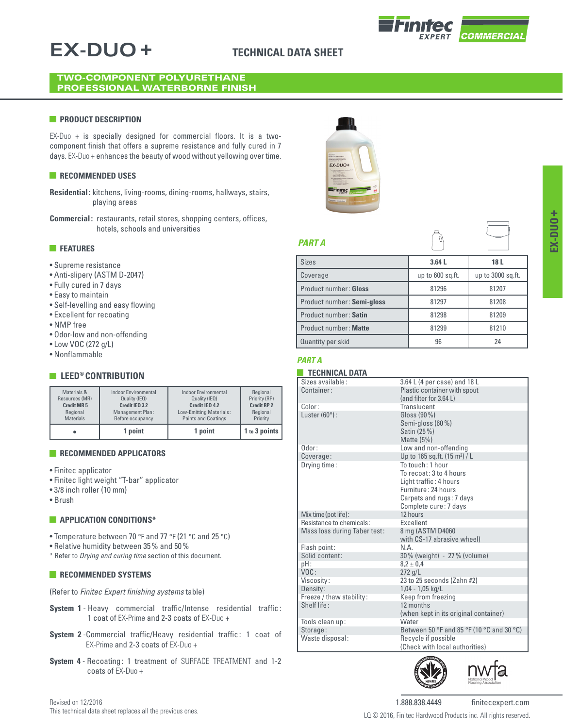# **EX-DUO +**

# **TECHNICAL DATA SHEET**

### TWO-COMPONENT POLYURETHANE PROFESSIONAL WATERBORNE FINISH

### **PRODUCT DESCRIPTION**

EX-Duo + is specially designed for commercial floors. It is a twocomponent finish that offers a supreme resistance and fully cured in 7 days. EX-Duo + enhances the beauty of wood without yellowing over time.

## **RECOMMENDED USES**

- **Residential:** kitchens, living-rooms, dining-rooms, hallways, stairs, playing areas
- **Commercial:** restaurants, retail stores, shopping centers, offices, hotels, schools and universities

# **FEATURES**

- Supreme resistance
- Anti-slipery (ASTM D-2047)
- Fully cured in 7 days
- Easy to maintain
- Self-levelling and easy flowing
- Excellent for recoating
- NMP free
- Odor-low and non-offending
- Low VOC (272 g/L)
- Nonflammable

# **EXECUTE CONTRIBUTION**

|                   | 1 point              | 1 point                    | 1 to 3 points      |
|-------------------|----------------------|----------------------------|--------------------|
| Materials &       | Indoor Environmental | Indoor Environmental       | Regional           |
| Resources (MR)    | Quality (IEQ)        | Quality (IEQ)              | Priority (RP)      |
| <b>Credit MR5</b> | Credit IEQ 3.2       | Credit IEO 4.2             | <b>Credit RP 2</b> |
| Regional          | Management Plan:     | Low-Emitting Materials:    | Regional           |
| <b>Materials</b>  | Before occupancy     | <b>Paints and Coatings</b> | Priority           |

### **RECOMMENDED APPLICATORS**

- Finitec applicator
- Finitec light weight "T-bar" applicator
- 3/8 inch roller (10 mm)
- Brush

#### **APPLICATION CONDITIONS\***

- Temperature between 70 °F and 77 °F (21 °C and 25 °C)
- Relative humidity between 35% and 50%
- \* Refer to *Drying and curing time* section of this document.

### **RECOMMENDED SYSTEMS**

(Refer to *Finitec Expert finishing systems* table)

- **System 1** Heavy commercial traffic/Intense residential traffic: 1 coat of EX-Prime and 2-3 coats of EX-Duo +
- **System 2** -Commercial traffic/Heavy residential traffic: 1 coat of EX-Prime and 2-3 coats of EX-Duo +
- **System 4** Recoating: 1 treatment of SURFACE TREATMENT and 1-2 coats of EX-Duo +



# *PART A*

| <b>Sizes</b>               | 3.64L            | 18 L              |
|----------------------------|------------------|-------------------|
| Coverage                   | up to 600 sq.ft. | up to 3000 sq.ft. |
| Product number: Gloss      | 81296            | 81207             |
| Product number: Semi-gloss | 81297            | 81208             |
| Product number: Satin      | 81298            | 81209             |
| Product number: Matte      | 81299            | 81210             |
| Quantity per skid          | 96               | 24                |

# *PART A*

### **TECHNICAL DATA**

| Sizes available:             | 3.64 L (4 per case) and 18 L              |
|------------------------------|-------------------------------------------|
| Container:                   | Plastic container with spout              |
|                              | (and filter for 3.64 L)                   |
| Color:                       | Translucent                               |
|                              |                                           |
| Luster $(60^{\circ})$ :      | Gloss (90 %)                              |
|                              | Semi-gloss (60 %)                         |
|                              | Satin (25 %)                              |
|                              | Matte $(5%)$                              |
| $0$ dor:                     | Low and non-offending                     |
| Coverage:                    | Up to 165 sq.ft. (15 m <sup>2</sup> ) / L |
| Drying time:                 | To touch: 1 hour                          |
|                              | To recoat: 3 to 4 hours                   |
|                              | Light traffic: 4 hours                    |
|                              | Furniture: 24 hours                       |
|                              | Carpets and rugs: 7 days                  |
|                              | Complete cure: 7 days                     |
| Mix time (pot life):         | 12 hours                                  |
| Resistance to chemicals:     | <b>Excellent</b>                          |
| Mass loss during Taber test: | 8 mg (ASTM D4060                          |
|                              | with CS-17 abrasive wheel)                |
| Flash point:                 | N.A                                       |
| Solid content:               | 30% (weight) - 27% (volume)               |
| $pH$ :                       | $8.2 \pm 0.4$                             |
| VOC:                         | $272$ g/L                                 |
| Viscosity:                   | 23 to 25 seconds (Zahn #2)                |
| Density:                     | $1,04 - 1,05$ kg/L                        |
| Freeze / thaw stability:     | Keep from freezing                        |
| Shelf life:                  | 12 months                                 |
|                              | (when kept in its original container)     |
| Tools clean up:              | Water                                     |
| Storage:                     | Between 50 °F and 85 °F (10 °C and 30 °C) |
| Waste disposal:              | Recycle if possible                       |
|                              | (Check with local authorities)            |





**+**

1.888.838.4449 finitecexpert.com LQ © 2016, Finitec Hardwood Products inc. All rights reserved.